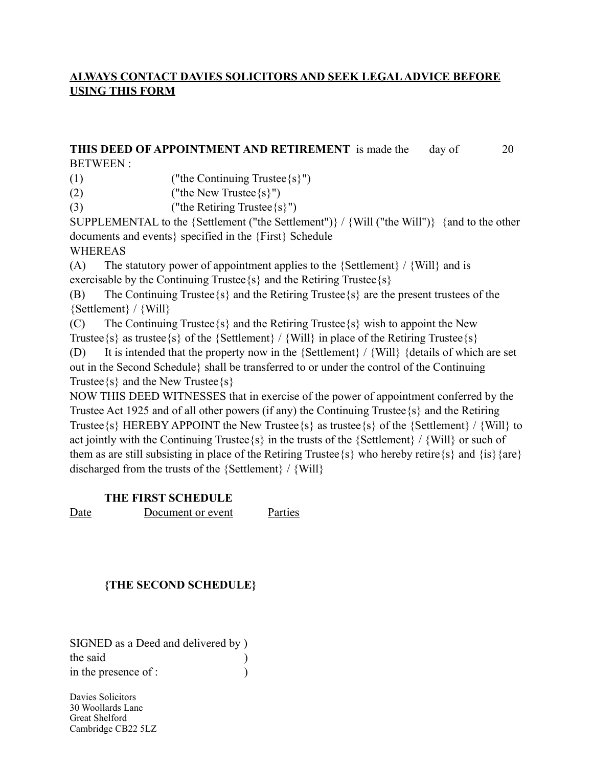### **ALWAYS CONTACT DAVIES SOLICITORS AND SEEK LEGAL ADVICE BEFORE USING THIS FORM**

#### **THIS DEED OF APPOINTMENT AND RETIREMENT** is made the day of 20 BETWEEN :

(1) ("the Continuing Trustee{s}")

(2) ("the New Trustee  $\{s\}$ ")

(3) ("the Retiring Trustee{s}")

SUPPLEMENTAL to the {Settlement ("the Settlement")} / {Will ("the Will")} {and to the other documents and events} specified in the {First} Schedule

WHEREAS

(A) The statutory power of appointment applies to the  ${SetElement} / {Will}$  and is exercisable by the Continuing Trustee $\{s\}$  and the Retiring Trustee $\{s\}$ 

(B) The Continuing Trustee{s} and the Retiring Trustee{s} are the present trustees of the {Settlement} / {Will}

(C) The Continuing Trustee{s} and the Retiring Trustee{s} wish to appoint the New Trustee  $\{s\}$  as trustee  $\{s\}$  of the  $\{Setllement\} / \{Will\}$  in place of the Retiring Trustee  $\{s\}$ 

(D) It is intended that the property now in the {Settlement} / {Will} {details of which are set out in the Second Schedule} shall be transferred to or under the control of the Continuing Trustee $\{s\}$  and the New Trustee $\{s\}$ 

NOW THIS DEED WITNESSES that in exercise of the power of appointment conferred by the Trustee Act 1925 and of all other powers (if any) the Continuing Trustee{s} and the Retiring Trustee{s} HEREBY APPOINT the New Trustee{s} as trustee{s} of the {Settlement} / {Will} to act jointly with the Continuing Trustee{s} in the trusts of the {Settlement} / {Will} or such of them as are still subsisting in place of the Retiring Trustee  $\{s\}$  who hereby retire  $\{s\}$  and  $\{is\}$  {are} discharged from the trusts of the {Settlement} / {Will}

### **THE FIRST SCHEDULE**

Date Document or event Parties

## **{THE SECOND SCHEDULE}**

SIGNED as a Deed and delivered by ) the said ) in the presence of :  $\qquad \qquad$ )

Davies Solicitors 30 Woollards Lane Great Shelford Cambridge CB22 5LZ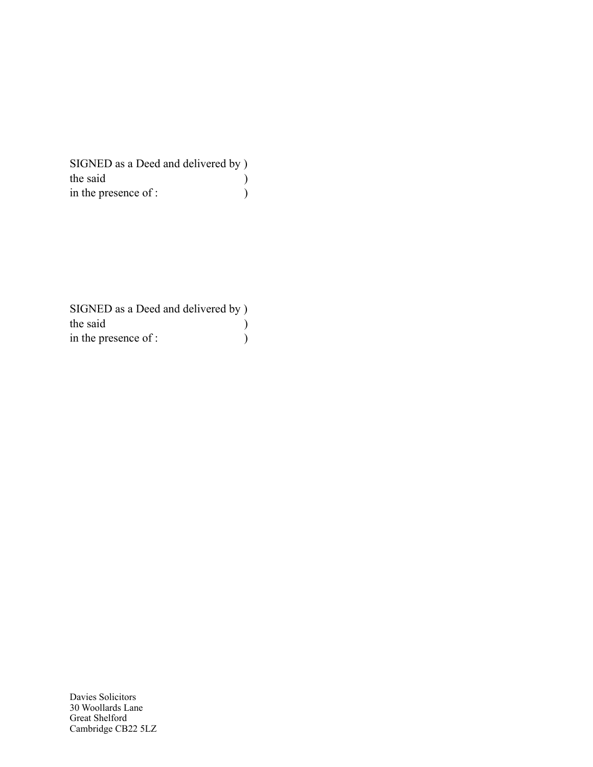SIGNED as a Deed and delivered by ) the said (b) in the presence of :  $\qquad \qquad$ )

SIGNED as a Deed and delivered by ) the said (b) in the presence of :  $\hfill\text{)}$ 

Davies Solicitors 30 Woollards Lane Great Shelford Cambridge CB22 5LZ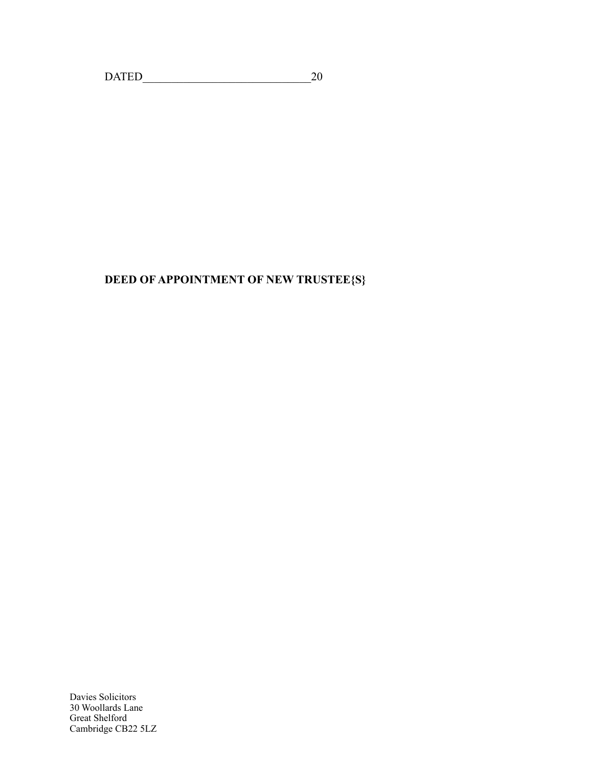DATED\_\_\_\_\_\_\_\_\_\_\_\_\_\_\_\_\_\_\_\_\_\_\_\_\_\_\_\_\_20

# **DEED OF APPOINTMENT OF NEW TRUSTEE{S}**

Davies Solicitors 30 Woollards Lane Great Shelford Cambridge CB22 5LZ